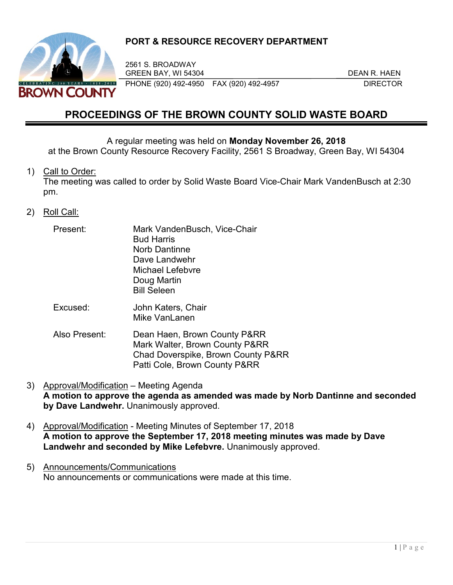

## **PORT & RESOURCE RECOVERY DEPARTMENT**

2561 S. BROADWAY GREEN BAY, WI 54304 DEAN R. HAEN PHONE (920) 492-4950 FAX (920) 492-4957 DIRECTOR

# **PROCEEDINGS OF THE BROWN COUNTY SOLID WASTE BOARD**

A regular meeting was held on **Monday November 26, 2018** at the Brown County Resource Recovery Facility, 2561 S Broadway, Green Bay, WI 54304

1) Call to Order:

The meeting was called to order by Solid Waste Board Vice-Chair Mark VandenBusch at 2:30 pm.

- 2) Roll Call:
	- Present: Mark VandenBusch, Vice-Chair Bud Harris Norb Dantinne Dave Landwehr Michael Lefebvre Doug Martin Bill Seleen
	- Excused: John Katers, Chair Mike VanLanen
	- Also Present: Dean Haen, Brown County P&RR Mark Walter, Brown County P&RR Chad Doverspike, Brown County P&RR Patti Cole, Brown County P&RR
- 3) Approval/Modification Meeting Agenda **A motion to approve the agenda as amended was made by Norb Dantinne and seconded by Dave Landwehr.** Unanimously approved.
- 4) Approval/Modification Meeting Minutes of September 17, 2018 **A motion to approve the September 17, 2018 meeting minutes was made by Dave Landwehr and seconded by Mike Lefebvre.** Unanimously approved.
- 5) Announcements/Communications No announcements or communications were made at this time.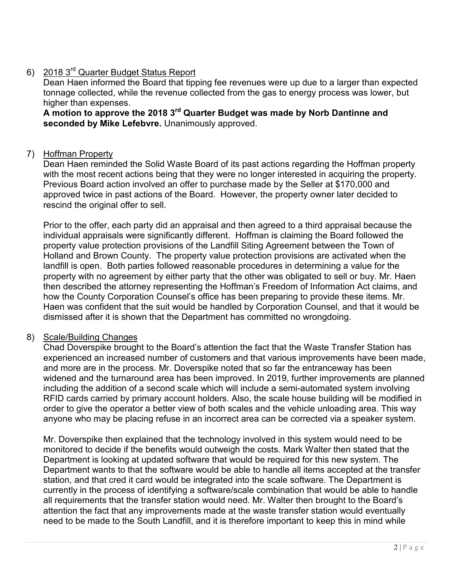## 6) 2018 3rd Quarter Budget Status Report

Dean Haen informed the Board that tipping fee revenues were up due to a larger than expected tonnage collected, while the revenue collected from the gas to energy process was lower, but higher than expenses.

**A motion to approve the 2018 3rd Quarter Budget was made by Norb Dantinne and seconded by Mike Lefebvre.** Unanimously approved.

## 7) Hoffman Property

Dean Haen reminded the Solid Waste Board of its past actions regarding the Hoffman property with the most recent actions being that they were no longer interested in acquiring the property. Previous Board action involved an offer to purchase made by the Seller at \$170,000 and approved twice in past actions of the Board. However, the property owner later decided to rescind the original offer to sell.

Prior to the offer, each party did an appraisal and then agreed to a third appraisal because the individual appraisals were significantly different. Hoffman is claiming the Board followed the property value protection provisions of the Landfill Siting Agreement between the Town of Holland and Brown County. The property value protection provisions are activated when the landfill is open. Both parties followed reasonable procedures in determining a value for the property with no agreement by either party that the other was obligated to sell or buy. Mr. Haen then described the attorney representing the Hoffman's Freedom of Information Act claims, and how the County Corporation Counsel's office has been preparing to provide these items. Mr. Haen was confident that the suit would be handled by Corporation Counsel, and that it would be dismissed after it is shown that the Department has committed no wrongdoing.

## 8) Scale/Building Changes

Chad Doverspike brought to the Board's attention the fact that the Waste Transfer Station has experienced an increased number of customers and that various improvements have been made, and more are in the process. Mr. Doverspike noted that so far the entranceway has been widened and the turnaround area has been improved. In 2019, further improvements are planned including the addition of a second scale which will include a semi-automated system involving RFID cards carried by primary account holders. Also, the scale house building will be modified in order to give the operator a better view of both scales and the vehicle unloading area. This way anyone who may be placing refuse in an incorrect area can be corrected via a speaker system.

Mr. Doverspike then explained that the technology involved in this system would need to be monitored to decide if the benefits would outweigh the costs. Mark Walter then stated that the Department is looking at updated software that would be required for this new system. The Department wants to that the software would be able to handle all items accepted at the transfer station, and that cred it card would be integrated into the scale software. The Department is currently in the process of identifying a software/scale combination that would be able to handle all requirements that the transfer station would need. Mr. Walter then brought to the Board's attention the fact that any improvements made at the waste transfer station would eventually need to be made to the South Landfill, and it is therefore important to keep this in mind while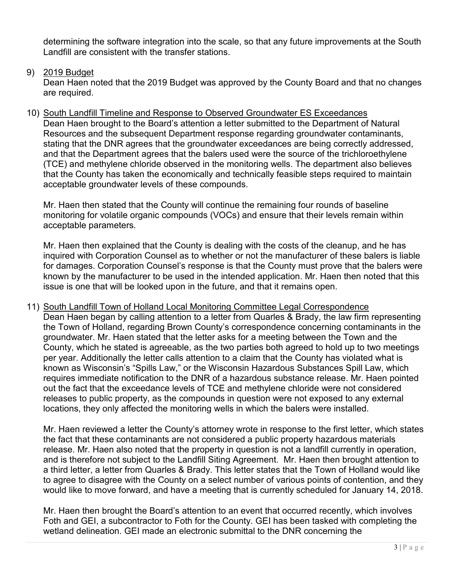determining the software integration into the scale, so that any future improvements at the South Landfill are consistent with the transfer stations.

## 9) 2019 Budget

Dean Haen noted that the 2019 Budget was approved by the County Board and that no changes are required.

10) South Landfill Timeline and Response to Observed Groundwater ES Exceedances Dean Haen brought to the Board's attention a letter submitted to the Department of Natural Resources and the subsequent Department response regarding groundwater contaminants, stating that the DNR agrees that the groundwater exceedances are being correctly addressed, and that the Department agrees that the balers used were the source of the trichloroethylene (TCE) and methylene chloride observed in the monitoring wells. The department also believes that the County has taken the economically and technically feasible steps required to maintain acceptable groundwater levels of these compounds.

Mr. Haen then stated that the County will continue the remaining four rounds of baseline monitoring for volatile organic compounds (VOCs) and ensure that their levels remain within acceptable parameters.

Mr. Haen then explained that the County is dealing with the costs of the cleanup, and he has inquired with Corporation Counsel as to whether or not the manufacturer of these balers is liable for damages. Corporation Counsel's response is that the County must prove that the balers were known by the manufacturer to be used in the intended application. Mr. Haen then noted that this issue is one that will be looked upon in the future, and that it remains open.

#### 11) South Landfill Town of Holland Local Monitoring Committee Legal Correspondence

Dean Haen began by calling attention to a letter from Quarles & Brady, the law firm representing the Town of Holland, regarding Brown County's correspondence concerning contaminants in the groundwater. Mr. Haen stated that the letter asks for a meeting between the Town and the County, which he stated is agreeable, as the two parties both agreed to hold up to two meetings per year. Additionally the letter calls attention to a claim that the County has violated what is known as Wisconsin's "Spills Law," or the Wisconsin Hazardous Substances Spill Law, which requires immediate notification to the DNR of a hazardous substance release. Mr. Haen pointed out the fact that the exceedance levels of TCE and methylene chloride were not considered releases to public property, as the compounds in question were not exposed to any external locations, they only affected the monitoring wells in which the balers were installed.

Mr. Haen reviewed a letter the County's attorney wrote in response to the first letter, which states the fact that these contaminants are not considered a public property hazardous materials release. Mr. Haen also noted that the property in question is not a landfill currently in operation, and is therefore not subject to the Landfill Siting Agreement. Mr. Haen then brought attention to a third letter, a letter from Quarles & Brady. This letter states that the Town of Holland would like to agree to disagree with the County on a select number of various points of contention, and they would like to move forward, and have a meeting that is currently scheduled for January 14, 2018.

Mr. Haen then brought the Board's attention to an event that occurred recently, which involves Foth and GEI, a subcontractor to Foth for the County. GEI has been tasked with completing the wetland delineation. GEI made an electronic submittal to the DNR concerning the